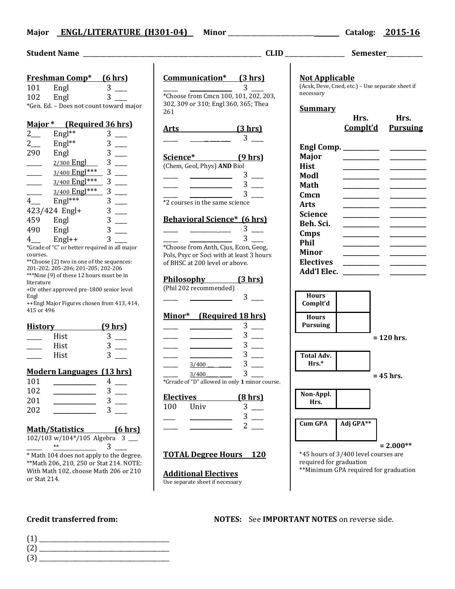### **Major ENGL/LITERATURE (H301-04) Minor** \_\_\_\_\_\_\_\_\_\_\_\_\_\_\_\_\_\_\_\_\_\_\_\_\_\_ **Catalog: 2015-16**

#### **Student Name** \_\_\_\_\_\_\_\_\_\_\_\_\_\_\_\_\_\_\_\_\_\_\_\_\_\_\_\_\_\_\_\_\_\_\_\_\_\_\_\_\_\_\_\_\_\_\_\_\_\_\_\_\_\_ **CLID** \_\_\_\_\_\_\_\_\_\_\_\_\_\_\_\_\_\_ **Semester**\_\_\_\_\_\_\_\_\_\_\_ **Freshman Comp\* (6 hrs)** 101 Engl 3 102 Engl 3 \*Gen. Ed. – Does not count toward major **Major \* (Required 36 hrs)**  $2 \quad \text{Engl}^{**} \quad 3 \quad \text{---}$  $2 \qquad \qquad$  Engl<sup>\*\*</sup> 3 \_\_\_\_ 290 Engl 3  $_{2/300}$  Engl  $_{3}$  3  $3/400$  Engl<sup>\*\*\*</sup> 3 \_\_\_\_ 3/400 Engl\*\*\* 3  $3/400$  Engl\*\*\* 3 \_\_\_\_ 4\_\_\_ Engl\*\*\* 3 \_\_\_\_ 423/424 Engl+ 3 \_\_\_\_ 459 Engl 3 **Communication\* (3 hrs)**  $\frac{1}{\sqrt{3}}$   $\frac{1}{\sqrt{3}}$   $\frac{1}{\sqrt{3}}$   $\frac{1}{\sqrt{3}}$   $\frac{1}{\sqrt{3}}$   $\frac{1}{\sqrt{3}}$   $\frac{1}{\sqrt{3}}$   $\frac{1}{\sqrt{3}}$   $\frac{1}{\sqrt{3}}$   $\frac{1}{\sqrt{3}}$   $\frac{1}{\sqrt{3}}$   $\frac{1}{\sqrt{3}}$   $\frac{1}{\sqrt{3}}$   $\frac{1}{\sqrt{3}}$   $\frac{1}{\sqrt{3}}$   $\frac{1}{\sqrt{3}}$   $\frac{1}{\sqrt{3}}$  \*Choose from Cmcn 100, 101, 202, 203, 302, 309 or 310; Engl 360, 365; Thea 261 **Arts (3 hrs)**  $3 \Box$ **Science\* (9 hrs)** (Chem, Geol, Phys) **AND** Biol  $3$   $\_\_$  $3$   $\equiv$  $3$ \*2 courses in the same science **Behavioral Science\* (6 hrs) Not Applicable** necessary **Summary Hist \_\_\_\_\_\_\_\_\_\_\_\_ \_\_\_\_\_\_\_\_\_\_\_\_ Modl \_\_\_\_\_\_\_\_\_\_\_\_ \_\_\_\_\_\_\_\_\_\_\_\_ Math \_\_\_\_\_\_\_\_\_\_\_\_ \_\_\_\_\_\_\_\_\_\_\_\_ Cmcn \_\_\_\_\_\_\_\_\_\_\_\_ \_\_\_\_\_\_\_\_\_\_\_\_ Arts \_\_\_\_\_\_\_\_\_\_\_\_ \_\_\_\_\_\_\_\_\_\_\_\_ Science \_\_\_\_\_\_\_\_\_\_\_\_ \_\_\_\_\_\_\_\_\_\_\_\_**

- 490 Engl 3  $4$  Engl++  $3$ \*Grade of "C" or better required in all major
- courses. \*\*Choose (2) two in one of the sequences: 201-202; 205-206; 201-205; 202-206 \*\*\*Nine (9) of these 12 hours must be in literature +Or other approved pre-1800 senior level Engl ++Engl Major Figures chosen from 413, 414,
- 415 or 496

| <b>History</b> | <u>(9 hrs)</u> |
|----------------|----------------|
| Hist           |                |
| Hist           |                |
| Hist           |                |

### **Modern Languages (13 hrs)**

| 101 | 4 |
|-----|---|
| 102 | 3 |
| 201 | 3 |
| 202 | 3 |

**Math/Statistics (6 hrs)**

| $102/103 \text{ w}/104*/105$ Algebra 3 |  |  |
|----------------------------------------|--|--|
| $**$                                   |  |  |

\* Math 104 does not apply to the degree. \*\*Math 206, 210, 250 or Stat 214. NOTE: With Math 102, choose Math 206 or 210 or Stat 214.

# $3 \Box$  $\frac{1}{\sqrt{2\pi}}$   $\frac{1}{\sqrt{2\pi}}$   $\frac{3}{\sqrt{2\pi}}$ \*Choose from Anth, Cjus, Econ, Geog, Pols, Psyc or Soci with at least 3 hours of BHSC at 200 level or above.

| <u>Philosophv</u>      | (3 hrs) |
|------------------------|---------|
| (Phil 202 recommended) |         |
|                        |         |

### **Minor\* (Required 18 hrs)**

|             |                                                  | 3      |
|-------------|--------------------------------------------------|--------|
|             |                                                  | 3      |
|             |                                                  | 3      |
|             |                                                  | 3      |
|             | 3/400                                            | 3      |
|             | 3/400                                            | 3      |
| $\sim$<br>۰ | $\sigma$ <i>t</i> $\sigma$ <b>u 11</b><br>$\sim$ | $\sim$ |

\*Grrade of "D" allowed in only **1** minor course.

| <b>Electives</b> |             | <u>(8 hrs)</u> |
|------------------|-------------|----------------|
| 100              | <b>Univ</b> |                |
|                  |             |                |
|                  |             |                |

### **TOTAL Degree Hours 120**

**Additional Electives** Use separate sheet if necessary

## (Acsk, Deve, Cned, etc.) – Use separate sheet if **Hrs. Hrs. Complt'd Pursuing Engl Comp. \_\_\_\_\_\_\_\_\_\_\_\_ \_\_\_\_\_\_\_\_\_\_\_\_ Major \_\_\_\_\_\_\_\_\_\_\_\_ \_\_\_\_\_\_\_\_\_\_\_\_ Beh. Sci. \_\_\_\_\_\_\_\_\_\_\_\_ \_\_\_\_\_\_\_\_\_\_\_\_ Cmps \_\_\_\_\_\_\_\_\_\_\_\_ \_\_\_\_\_\_\_\_\_\_\_\_ Phil \_\_\_\_\_\_\_\_\_\_\_\_ \_\_\_\_\_\_\_\_\_\_\_\_ Minor \_\_\_\_\_\_\_\_\_\_\_\_ \_\_\_\_\_\_\_\_\_\_\_\_ Electives \_\_\_\_\_\_\_\_\_\_\_\_ \_\_\_\_\_\_\_\_\_\_\_\_ Add'l Elec. \_\_\_\_\_\_\_\_\_\_\_\_ \_\_\_\_\_\_\_\_\_\_\_\_ Hours Complt'd Hours Pursuing = 120 hrs. Total Adv. Hrs.\* = 45 hrs.**

**Non-Appl. Hrs.**

**Cum GPA Adj GPA\*\***

**= 2.000\*\***

\*45 hours of 3/400 level courses are required for graduation

\*\*Minimum GPA required for graduation

**Credit transferred from: NOTES:** See **IMPORTANT NOTES** on reverse side.

- (1) \_\_\_\_\_\_\_\_\_\_\_\_\_\_\_\_\_\_\_\_\_\_\_\_\_\_\_\_\_\_\_\_\_\_\_\_\_\_\_\_\_\_\_ (2) \_\_\_\_\_\_\_\_\_\_\_\_\_\_\_\_\_\_\_\_\_\_\_\_\_\_\_\_\_\_\_\_\_\_\_\_\_\_\_\_\_\_\_
- $(3)$